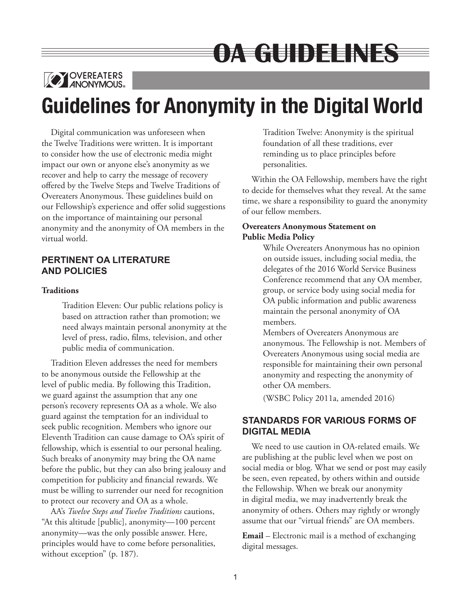# OATGUIDEEINES



## **Guidelines for Anonymity in the Digital World**

Digital communication was unforeseen when the Twelve Traditions were written. It is important to consider how the use of electronic media might impact our own or anyone else's anonymity as we recover and help to carry the message of recovery offered by the Twelve Steps and Twelve Traditions of Overeaters Anonymous. These guidelines build on our Fellowship's experience and offer solid suggestions on the importance of maintaining our personal anonymity and the anonymity of OA members in the virtual world.

## **PERTINENT OA LITERATURE AND POLICIES**

### **Traditions**

Tradition Eleven: Our public relations policy is based on attraction rather than promotion; we need always maintain personal anonymity at the level of press, radio, films, television, and other public media of communication.

Tradition Eleven addresses the need for members to be anonymous outside the Fellowship at the level of public media. By following this Tradition, we guard against the assumption that any one person's recovery represents OA as a whole. We also guard against the temptation for an individual to seek public recognition. Members who ignore our Eleventh Tradition can cause damage to OA's spirit of fellowship, which is essential to our personal healing. Such breaks of anonymity may bring the OA name before the public, but they can also bring jealousy and competition for publicity and financial rewards. We must be willing to surrender our need for recognition to protect our recovery and OA as a whole.

AA's *Twelve Steps and Twelve Traditions* cautions, "At this altitude [public], anonymity—100 percent anonymity—was the only possible answer. Here, principles would have to come before personalities, without exception" (p. 187).

Tradition Twelve: Anonymity is the spiritual foundation of all these traditions, ever reminding us to place principles before personalities.

Within the OA Fellowship, members have the right to decide for themselves what they reveal. At the same time, we share a responsibility to guard the anonymity of our fellow members.

## **Overeaters Anonymous Statement on Public Media Policy**

While Overeaters Anonymous has no opinion on outside issues, including social media, the delegates of the 2016 World Service Business Conference recommend that any OA member, group, or service body using social media for OA public information and public awareness maintain the personal anonymity of OA members.

Members of Overeaters Anonymous are anonymous. The Fellowship is not. Members of Overeaters Anonymous using social media are responsible for maintaining their own personal anonymity and respecting the anonymity of other OA members.

(WSBC Policy 2011a, amended 2016)

## **STANDARDS FOR VARIOUS FORMS OF DIGITAL MEDIA**

We need to use caution in OA-related emails. We are publishing at the public level when we post on social media or blog. What we send or post may easily be seen, even repeated, by others within and outside the Fellowship. When we break our anonymity in digital media, we may inadvertently break the anonymity of others. Others may rightly or wrongly assume that our "virtual friends" are OA members.

**Email** – Electronic mail is a method of exchanging digital messages.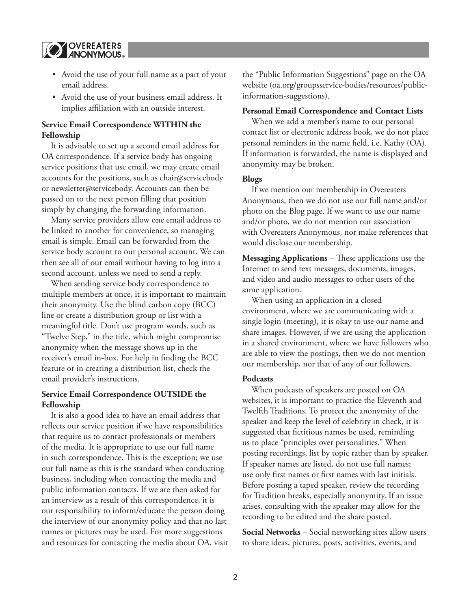

- Avoid the use of your full name as a part of your email address.
- Avoid the use of your business email address. It implies affiliation with an outside interest.

## **Service Email Correspondence WITHIN the Fellowship**

It is advisable to set up a second email address for OA correspondence. If a service body has ongoing service positions that use email, we may create email accounts for the positions, such as chair@servicebody or newsletter@servicebody. Accounts can then be passed on to the next person filling that position simply by changing the forwarding information.

Many service providers allow one email address to be linked to another for convenience, so managing email is simple. Email can be forwarded from the service body account to our personal account. We can then see all of our email without having to log into a second account, unless we need to send a reply.

When sending service body correspondence to multiple members at once, it is important to maintain their anonymity. Use the blind carbon copy (BCC) line or create a distribution group or list with a meaningful title. Don't use program words, such as "Twelve Step," in the title, which might compromise anonymity when the message shows up in the receiver's email in-box. For help in finding the BCC feature or in creating a distribution list, check the email provider's instructions.

#### **Service Email Correspondence OUTSIDE the Fellowship**

It is also a good idea to have an email address that reflects our service position if we have responsibilities that require us to contact professionals or members of the media. It is appropriate to use our full name in such correspondence. This is the exception; we use our full name as this is the standard when conducting business, including when contacting the media and public information contacts. If we are then asked for an interview as a result of this correspondence, it is our responsibility to inform/educate the person doing the interview of our anonymity policy and that no last names or pictures may be used. For more suggestions and resources for contacting the media about OA, visit the "Public Information Suggestions" page on the OA website (oa.org/groupsservice-bodies/resources/publicinformation-suggestions).

#### **Personal Email Correspondence and Contact Lists**

When we add a member's name to our personal contact list or electronic address book, we do not place personal reminders in the name field, i.e. Kathy (OA). If information is forwarded, the name is displayed and anonymity may be broken.

#### **Blogs**

If we mention our membership in Overeaters Anonymous, then we do not use our full name and/or photo on the Blog page. If we want to use our name and/or photo, we do not mention our association with Overeaters Anonymous, nor make references that would disclose our membership.

**Messaging Applications** – These applications use the Internet to send text messages, documents, images, and video and audio messages to other users of the same application.

When using an application in a closed environment, where we are communicating with a single login (meeting), it is okay to use our name and share images. However, if we are using the application in a shared environment, where we have followers who are able to view the postings, then we do not mention our membership, nor that of any of our followers.

#### **Podcasts**

When podcasts of speakers are posted on OA websites, it is important to practice the Eleventh and Twelfth Traditions. To protect the anonymity of the speaker and keep the level of celebrity in check, it is suggested that fictitious names be used, reminding us to place "principles over personalities." When posting recordings, list by topic rather than by speaker. If speaker names are listed, do not use full names; use only first names or first names with last initials. Before posting a taped speaker, review the recording for Tradition breaks, especially anonymity. If an issue arises, consulting with the speaker may allow for the recording to be edited and the share posted.

**Social Networks** – Social networking sites allow users to share ideas, pictures, posts, activities, events, and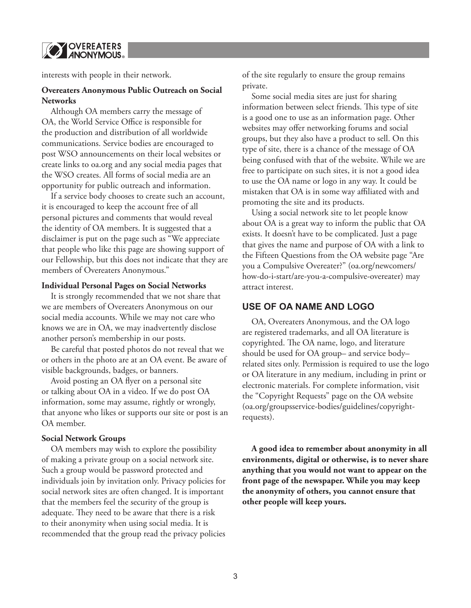**Y OVEREATERS** ®

interests with people in their network.

#### **Overeaters Anonymous Public Outreach on Social Networks**

Although OA members carry the message of OA, the World Service Office is responsible for the production and distribution of all worldwide communications. Service bodies are encouraged to post WSO announcements on their local websites or create links to oa.org and any social media pages that the WSO creates. All forms of social media are an opportunity for public outreach and information.

If a service body chooses to create such an account, it is encouraged to keep the account free of all personal pictures and comments that would reveal the identity of OA members. It is suggested that a disclaimer is put on the page such as "We appreciate that people who like this page are showing support of our Fellowship, but this does not indicate that they are members of Overeaters Anonymous."

#### **Individual Personal Pages on Social Networks**

It is strongly recommended that we not share that we are members of Overeaters Anonymous on our social media accounts. While we may not care who knows we are in OA, we may inadvertently disclose another person's membership in our posts.

Be careful that posted photos do not reveal that we or others in the photo are at an OA event. Be aware of visible backgrounds, badges, or banners.

Avoid posting an OA flyer on a personal site or talking about OA in a video. If we do post OA information, some may assume, rightly or wrongly, that anyone who likes or supports our site or post is an OA member.

#### **Social Network Groups**

OA members may wish to explore the possibility of making a private group on a social network site. Such a group would be password protected and individuals join by invitation only. Privacy policies for social network sites are often changed. It is important that the members feel the security of the group is adequate. They need to be aware that there is a risk to their anonymity when using social media. It is recommended that the group read the privacy policies of the site regularly to ensure the group remains private.

Some social media sites are just for sharing information between select friends. This type of site is a good one to use as an information page. Other websites may offer networking forums and social groups, but they also have a product to sell. On this type of site, there is a chance of the message of OA being confused with that of the website. While we are free to participate on such sites, it is not a good idea to use the OA name or logo in any way. It could be mistaken that OA is in some way affiliated with and promoting the site and its products.

Using a social network site to let people know about OA is a great way to inform the public that OA exists. It doesn't have to be complicated. Just a page that gives the name and purpose of OA with a link to the Fifteen Questions from the OA website page "Are you a Compulsive Overeater?" (oa.org/newcomers/ how-do-i-start/are-you-a-compulsive-overeater) may attract interest.

#### **USE OF OA NAME AND LOGO**

OA, Overeaters Anonymous, and the OA logo are registered trademarks, and all OA literature is copyrighted. The OA name, logo, and literature should be used for OA group– and service body– related sites only. Permission is required to use the logo or OA literature in any medium, including in print or electronic materials. For complete information, visit the "Copyright Requests" page on the OA website (oa.org/groupsservice-bodies/guidelines/copyrightrequests).

**A good idea to remember about anonymity in all environments, digital or otherwise, is to never share anything that you would not want to appear on the front page of the newspaper. While you may keep the anonymity of others, you cannot ensure that other people will keep yours.**